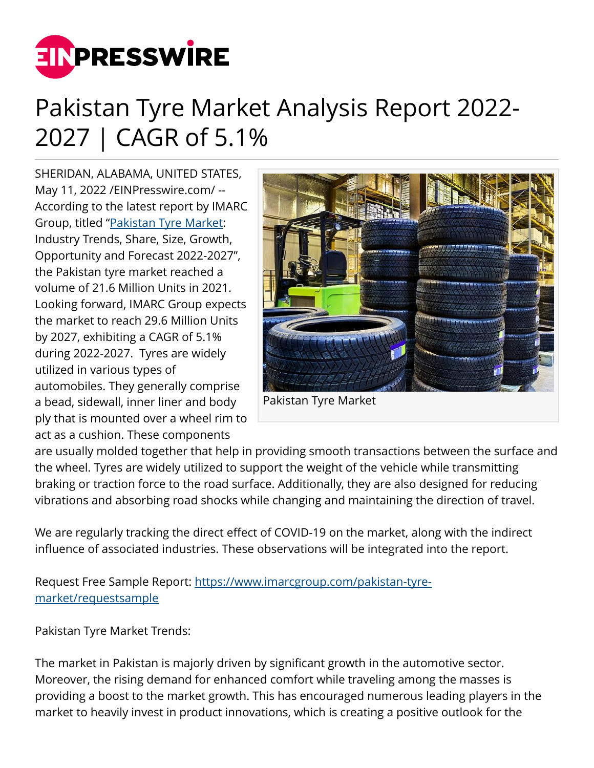

## Pakistan Tyre Market Analysis Report 2022- 2027 | CAGR of 5.1%

SHERIDAN, ALABAMA, UNITED STATES, May 11, 2022 [/EINPresswire.com](http://www.einpresswire.com)/ -- According to the latest report by IMARC Group, titled ["Pakistan Tyre Market:](https://www.imarcgroup.com/pakistan-tyre-market) Industry Trends, Share, Size, Growth, Opportunity and Forecast 2022-2027", the Pakistan tyre market reached a volume of 21.6 Million Units in 2021. Looking forward, IMARC Group expects the market to reach 29.6 Million Units by 2027, exhibiting a CAGR of 5.1% during 2022-2027. Tyres are widely utilized in various types of automobiles. They generally comprise a bead, sidewall, inner liner and body ply that is mounted over a wheel rim to act as a cushion. These components



Pakistan Tyre Market

are usually molded together that help in providing smooth transactions between the surface and the wheel. Tyres are widely utilized to support the weight of the vehicle while transmitting braking or traction force to the road surface. Additionally, they are also designed for reducing vibrations and absorbing road shocks while changing and maintaining the direction of travel.

We are regularly tracking the direct effect of COVID-19 on the market, along with the indirect influence of associated industries. These observations will be integrated into the report.

Request Free Sample Report: [https://www.imarcgroup.com/pakistan-tyre](https://www.imarcgroup.com/pakistan-tyre-market/requestsample)[market/requestsample](https://www.imarcgroup.com/pakistan-tyre-market/requestsample)

Pakistan Tyre Market Trends:

The market in Pakistan is majorly driven by significant growth in the automotive sector. Moreover, the rising demand for enhanced comfort while traveling among the masses is providing a boost to the market growth. This has encouraged numerous leading players in the market to heavily invest in product innovations, which is creating a positive outlook for the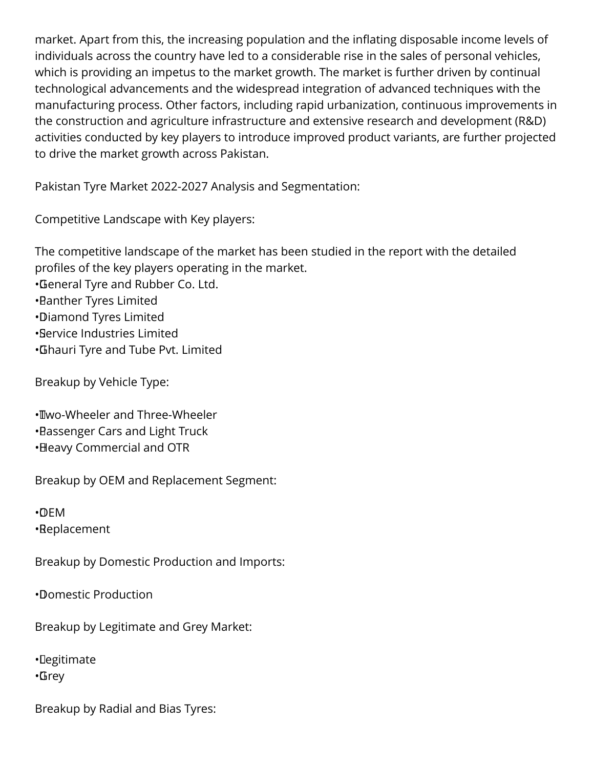market. Apart from this, the increasing population and the inflating disposable income levels of individuals across the country have led to a considerable rise in the sales of personal vehicles, which is providing an impetus to the market growth. The market is further driven by continual technological advancements and the widespread integration of advanced techniques with the manufacturing process. Other factors, including rapid urbanization, continuous improvements in the construction and agriculture infrastructure and extensive research and development (R&D) activities conducted by key players to introduce improved product variants, are further projected to drive the market growth across Pakistan.

Pakistan Tyre Market 2022-2027 Analysis and Segmentation:

Competitive Landscape with Key players:

The competitive landscape of the market has been studied in the report with the detailed profiles of the key players operating in the market. • General Tyre and Rubber Co. Ltd. • Panther Tyres Limited

- • Diamond Tyres Limited
- • Service Industries Limited
- • Ghauri Tyre and Tube Pvt. Limited

Breakup by Vehicle Type:

• Two-Wheeler and Three-Wheeler • Passenger Cars and Light Truck • Heavy Commercial and OTR

Breakup by OEM and Replacement Segment:

• OEM • Replacement

Breakup by Domestic Production and Imports:

• Domestic Production

Breakup by Legitimate and Grey Market:

• Legitimate • Grey

Breakup by Radial and Bias Tyres: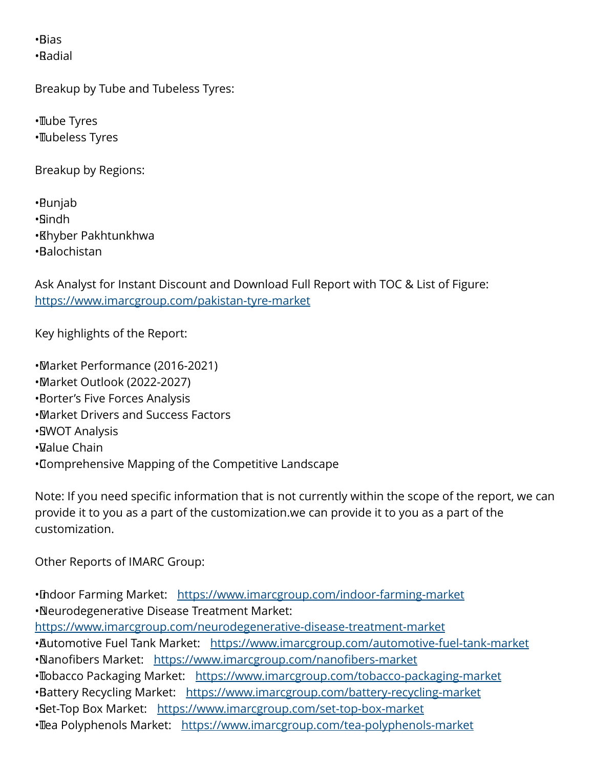• Bias • Radial

Breakup by Tube and Tubeless Tyres:

• Tube Tyres • Tubeless Tyres

Breakup by Regions:

• Punjab • Sindh • Khyber Pakhtunkhwa • Balochistan

Ask Analyst for Instant Discount and Download Full Report with TOC & List of Figure: <https://www.imarcgroup.com/pakistan-tyre-market>

Key highlights of the Report:

• Market Performance (2016-2021)

- • Market Outlook (2022-2027)
- **Borter's Five Forces Analysis**
- • Market Drivers and Success Factors
- •**SWOT Analysis**
- • Value Chain
- • Comprehensive Mapping of the Competitive Landscape

Note: If you need specific information that is not currently within the scope of the report, we can provide it to you as a part of the customization.we can provide it to you as a part of the customization.

Other Reports of IMARC Group:

• Indoor Farming Market: <https://www.imarcgroup.com/indoor-farming-market> • Neurodegenerative Disease Treatment Market: <https://www.imarcgroup.com/neurodegenerative-disease-treatment-market> • Automotive Fuel Tank Market: <https://www.imarcgroup.com/automotive-fuel-tank-market> ·Nanofibers Market: <https://www.imarcgroup.com/nanofibers-market> • Tobacco Packaging Market: <https://www.imarcgroup.com/tobacco-packaging-market> •Battery Recycling Market: <https://www.imarcgroup.com/battery-recycling-market> • Set-Top Box Market: <https://www.imarcgroup.com/set-top-box-market> • Tea Polyphenols Market: <https://www.imarcgroup.com/tea-polyphenols-market>